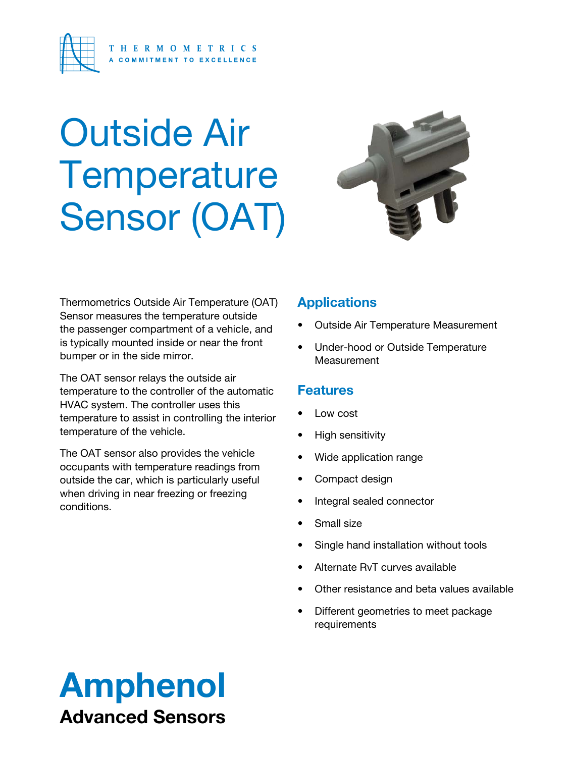

# Outside Air **Temperature** Sensor (OAT)



Thermometrics Outside Air Temperature (OAT) Sensor measures the temperature outside the passenger compartment of a vehicle, and is typically mounted inside or near the front bumper or in the side mirror.

The OAT sensor relays the outside air temperature to the controller of the automatic HVAC system. The controller uses this temperature to assist in controlling the interior temperature of the vehicle.

The OAT sensor also provides the vehicle occupants with temperature readings from outside the car, which is particularly useful when driving in near freezing or freezing conditions.

## **Applications**

- Outside Air Temperature Measurement
- Under-hood or Outside Temperature **Measurement**

## **Features**

- Low cost
- High sensitivity
- Wide application range
- Compact design
- Integral sealed connector
- Small size
- Single hand installation without tools
- Alternate RvT curves available
- Other resistance and beta values available
- Different geometries to meet package requirements

## Amphenol Advanced Sensors